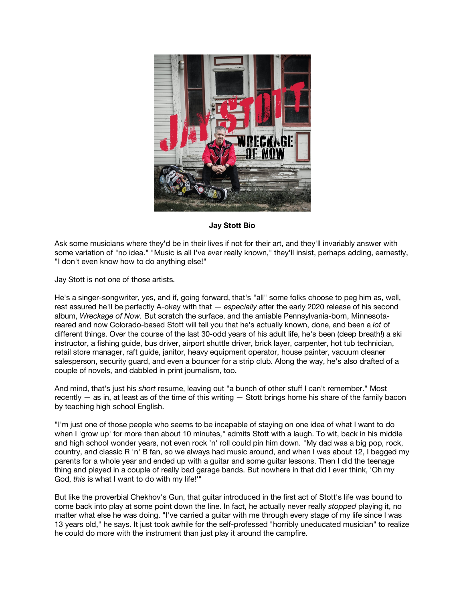

## **Jay Stott Bio**

Ask some musicians where they'd be in their lives if not for their art, and they'll invariably answer with some variation of "no idea." "Music is all I've ever really known," they'll insist, perhaps adding, earnestly, "I don't even know how to do anything else!"

Jay Stott is not one of those artists.

He's a singer-songwriter, yes, and if, going forward, that's "all" some folks choose to peg him as, well, rest assured he'll be perfectly A-okay with that — *especially* after the early 2020 release of his second album, *Wreckage of Now.* But scratch the surface, and the amiable Pennsylvania-born, Minnesotareared and now Colorado-based Stott will tell you that he's actually known, done, and been a *lot* of different things. Over the course of the last 30-odd years of his adult life, he's been (deep breath!) a ski instructor, a fishing guide, bus driver, airport shuttle driver, brick layer, carpenter, hot tub technician, retail store manager, raft guide, janitor, heavy equipment operator, house painter, vacuum cleaner salesperson, security guard, and even a bouncer for a strip club. Along the way, he's also drafted of a couple of novels, and dabbled in print journalism, too.

And mind, that's just his *short* resume, leaving out "a bunch of other stuff I can't remember." Most recently — as in, at least as of the time of this writing — Stott brings home his share of the family bacon by teaching high school English.

"I'm just one of those people who seems to be incapable of staying on one idea of what I want to do when I 'grow up' for more than about 10 minutes," admits Stott with a laugh. To wit, back in his middle and high school wonder years, not even rock 'n' roll could pin him down. "My dad was a big pop, rock, country, and classic R 'n' B fan, so we always had music around, and when I was about 12, I begged my parents for a whole year and ended up with a guitar and some guitar lessons. Then I did the teenage thing and played in a couple of really bad garage bands. But nowhere in that did I ever think, 'Oh my God, *this* is what I want to do with my life!'"

But like the proverbial Chekhov's Gun, that guitar introduced in the first act of Stott's life was bound to come back into play at some point down the line. In fact, he actually never really *stopped* playing it, no matter what else he was doing. "I've carried a guitar with me through every stage of my life since I was 13 years old," he says. It just took awhile for the self-professed "horribly uneducated musician" to realize he could do more with the instrument than just play it around the campfire.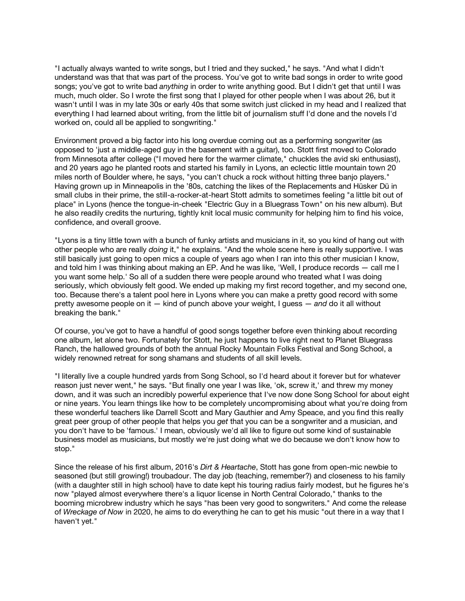"I actually always wanted to write songs, but I tried and they sucked," he says. "And what I didn't understand was that that was part of the process. You've got to write bad songs in order to write good songs; you've got to write bad *anything* in order to write anything good. But I didn't get that until I was much, much older. So I wrote the first song that I played for other people when I was about 26, but it wasn't until I was in my late 30s or early 40s that some switch just clicked in my head and I realized that everything I had learned about writing, from the little bit of journalism stuff I'd done and the novels I'd worked on, could all be applied to songwriting."

Environment proved a big factor into his long overdue coming out as a performing songwriter (as opposed to 'just a middle-aged guy in the basement with a guitar), too. Stott first moved to Colorado from Minnesota after college ("I moved here for the warmer climate," chuckles the avid ski enthusiast), and 20 years ago he planted roots and started his family in Lyons, an eclectic little mountain town 20 miles north of Boulder where, he says, "you can't chuck a rock without hitting three banjo players." Having grown up in Minneapolis in the '80s, catching the likes of the Replacements and Hüsker Dü in small clubs in their prime, the still-a-rocker-at-heart Stott admits to sometimes feeling "a little bit out of place" in Lyons (hence the tongue-in-cheek "Electric Guy in a Bluegrass Town" on his new album). But he also readily credits the nurturing, tightly knit local music community for helping him to find his voice, confidence, and overall groove.

"Lyons is a tiny little town with a bunch of funky artists and musicians in it, so you kind of hang out with other people who are really *doing* it," he explains. "And the whole scene here is really supportive. I was still basically just going to open mics a couple of years ago when I ran into this other musician I know, and told him I was thinking about making an EP. And he was like, 'Well, I produce records — call me I you want some help.' So all of a sudden there were people around who treated what I was doing seriously, which obviously felt good. We ended up making my first record together, and my second one, too. Because there's a talent pool here in Lyons where you can make a pretty good record with some pretty awesome people on it — kind of punch above your weight, I guess — *and* do it all without breaking the bank."

Of course, you've got to have a handful of good songs together before even thinking about recording one album, let alone two. Fortunately for Stott, he just happens to live right next to Planet Bluegrass Ranch, the hallowed grounds of both the annual Rocky Mountain Folks Festival and Song School, a widely renowned retreat for song shamans and students of all skill levels.

"I literally live a couple hundred yards from Song School, so I'd heard about it forever but for whatever reason just never went," he says. "But finally one year I was like, 'ok, screw it,' and threw my money down, and it was such an incredibly powerful experience that I've now done Song School for about eight or nine years. You learn things like how to be completely uncompromising about what you're doing from these wonderful teachers like Darrell Scott and Mary Gauthier and Amy Speace, and you find this really great peer group of other people that helps you *get* that you can be a songwriter and a musician, and you don't have to be 'famous.' I mean, obviously we'd all like to figure out some kind of sustainable business model as musicians, but mostly we're just doing what we do because we don't know how to stop."

Since the release of his first album, 2016's *Dirt & Heartache*, Stott has gone from open-mic newbie to seasoned (but still growing!) troubadour. The day job (teaching, remember?) and closeness to his family (with a daughter still in high school) have to date kept his touring radius fairly modest, but he figures he's now "played almost everywhere there's a liquor license in North Central Colorado," thanks to the booming microbrew industry which he says "has been very good to songwriters." And come the release of *Wreckage of Now* in 2020, he aims to do everything he can to get his music "out there in a way that I haven't yet."